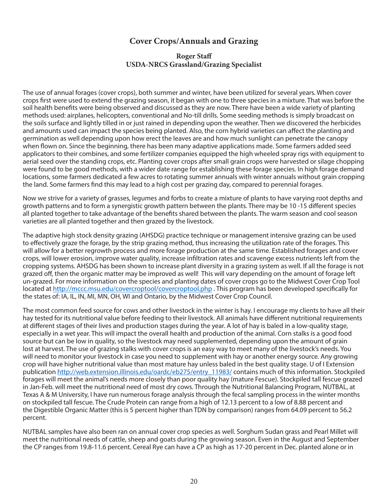#### **Cover Crops/Annuals and Grazing**

#### **Roger Staff USDA-NRCS Grassland/Grazing Specialist**

The use of annual forages (cover crops), both summer and winter, have been utilized for several years. When cover crops first were used to extend the grazing season, it began with one to three species in a mixture. That was before the soil health benefits were being observed and discussed as they are now. There have been a wide variety of planting methods used: airplanes, helicopters, conventional and No-till drills. Some seeding methods is simply broadcast on the soils surface and lightly tilled in or just rained in depending upon the weather. Then we discovered the herbicides and amounts used can impact the species being planted. Also, the corn hybrid varieties can affect the planting and germination as well depending upon how erect the leaves are and how much sunlight can penetrate the canopy when flown on. Since the beginning, there has been many adaptive applications made. Some farmers added seed applicators to their combines, and some fertilizer companies equipped the high wheeled spray rigs with equipment to aerial seed over the standing crops, etc. Planting cover crops after small grain crops were harvested or silage chopping were found to be good methods, with a wider date range for establishing these forage species. In high forage demand locations, some farmers dedicated a few acres to rotating summer annuals with winter annuals without grain cropping the land. Some farmers find this may lead to a high cost per grazing day, compared to perennial forages.

Now we strive for a variety of grasses, legumes and forbs to create a mixture of plants to have varying root depths and growth patterns and to form a synergistic growth pattern between the plants. There may be 10 -15 different species all planted together to take advantage of the benefits shared between the plants. The warm season and cool season varieties are all planted together and then grazed by the livestock.

The adaptive high stock density grazing (AHSDG) practice technique or management intensive grazing can be used to effectively graze the forage, by the strip grazing method, thus increasing the utilization rate of the forages. This will allow for a better regrowth process and more forage production at the same time. Established forages and cover crops, will lower erosion, improve water quality, increase infiltration rates and scavenge excess nutrients left from the cropping systems. AHSDG has been shown to increase plant diversity in a grazing system as well. If all the forage is not grazed off, then the organic matter may be improved as well! This will vary depending on the amount of forage left un-grazed. For more information on the species and planting dates of cover crops go to the Midwest Cover Crop Tool located at http://mccc.msu.edu/covercroptool/covercroptool.php . This program has been developed specifically for the states of: IA, IL, IN, MI, MN, OH, WI and Ontario, by the Midwest Cover Crop Council.

The most common feed source for cows and other livestock in the winter is hay. I encourage my clients to have all their hay tested for its nutritional value before feeding to their livestock. All animals have different nutritional requirements at different stages of their lives and production stages during the year. A lot of hay is baled in a low-quality stage, especially in a wet year. This will impact the overall health and production of the animal. Corn stalks is a good food source but can be low in quality, so the livestock may need supplemented, depending upon the amount of grain lost at harvest. The use of grazing stalks with cover crops is an easy way to meet many of the livestock's needs. You will need to monitor your livestock in case you need to supplement with hay or another energy source. Any growing crop will have higher nutritional value than most mature hay unless baled in the best quality stage. U of I Extension publication http://web.extension.illinois.edu/oardc/eb275/entry\_11983/ contains much of this information. Stockpiled forages will meet the animal's needs more closely than poor quality hay (mature Fescue). Stockpiled tall fescue grazed in Jan-Feb. will meet the nutritional need of most dry cows. Through the Nutritional Balancing Program, NUTBAL, at Texas A & M University, I have run numerous forage analysis through the fecal sampling process in the winter months on stockpiled tall fescue. The Crude Protein can range from a high of 12.13 percent to a low of 8.88 percent and the Digestible Organic Matter (this is 5 percent higher than TDN by comparison) ranges from 64.09 percent to 56.2 percent.

NUTBAL samples have also been ran on annual cover crop species as well. Sorghum Sudan grass and Pearl Millet will meet the nutritional needs of cattle, sheep and goats during the growing season. Even in the August and September the CP ranges from 19.8-11.6 percent. Cereal Rye can have a CP as high as 17-20 percent in Dec. planted alone or in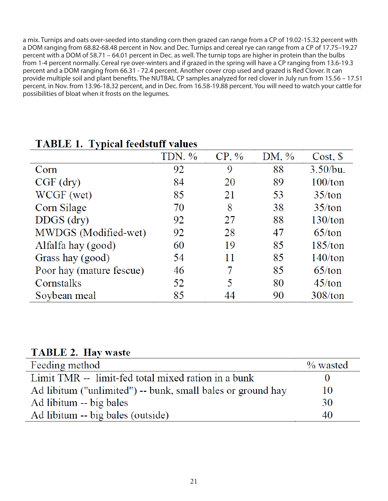a mix. Turnips and oats over-seeded into standing corn then grazed can range from a CP of 19.02-15.32 percent with a DOM ranging from 68.82-68.48 percent in Nov. and Dec. Turnips and cereal rye can range from a CP of 17.75–19.27 percent with a DOM of 58.71 – 64.01 percent in Dec. as well. The turnip tops are higher in protein than the bulbs from 1-4 percent normally. Cereal rye over-winters and if grazed in the spring will have a CP ranging from 13.6-19.3 percent and a DOM ranging from 66.31 - 72.4 percent. Another cover crop used and grazed is Red Clover. It can provide multiple soil and plant benefits. The NUTBAL CP samples analyzed for red clover in July run from 15.56 – 17.51 percent, in Nov. from 13.96-18.32 percent, and in Dec. from 16.58-19.88 percent. You will need to watch your cattle for possibilities of bloat when it frosts on the legumes.

|                          | TDN. % | $CP, \%$ | DM, $\%$ | $Cost,$ \$ |
|--------------------------|--------|----------|----------|------------|
| Corn                     | 92     | 9        | 88       | 3.50/bu.   |
| $CGF$ (dry)              | 84     | 20       | 89       | $100/t$ on |
| WCGF (wet)               | 85     | 21       | 53       | 35/ton     |
| Corn Silage              | 70     | 8        | 38       | 35/ton     |
| $DDGS$ (dry)             | 92     | 27       | 88       | 130/ton    |
| MWDGS (Modified-wet)     | 92     | 28       | 47       | 65/ton     |
| Alfalfa hay (good)       | 60     | 19       | 85       | 185/ton    |
| Grass hay (good)         | 54     | 11       | 85       | 140/ton    |
| Poor hay (mature fescue) | 46     | 7        | 85       | 65/ton     |
| Cornstalks               | 52     | 5        | 80       | 45/ton     |
| Soybean meal             | 85     | 44       | 90       | 308/ton    |

# **TABLE 1. Typical feedstuff values**

### **TABLE 2. Hav waste**

| Feeding method                                              | $\%$ wasted |
|-------------------------------------------------------------|-------------|
| Limit TMR -- limit-fed total mixed ration in a bunk         |             |
| Ad libitum ("unlimited") -- bunk, small bales or ground hay | 10          |
| Ad libitum -- big bales                                     | 30          |
| Ad libitum -- big bales (outside)                           | 40          |